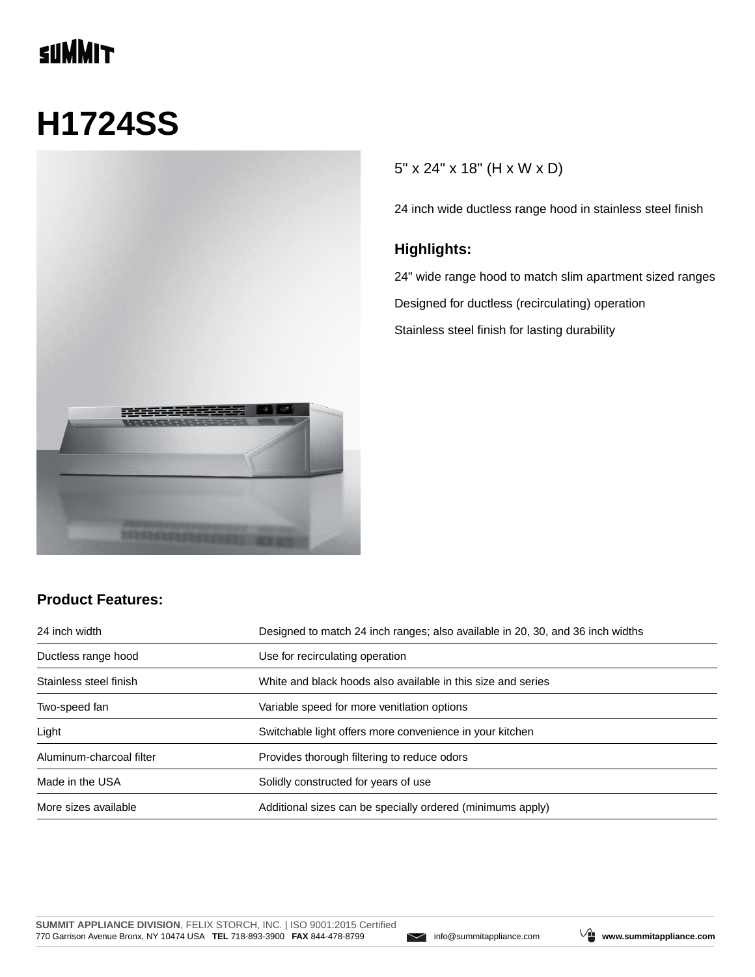# **SUMMIT**

# **H1724SS**



### 5" x 24" x 18" (H x W x D)

24 inch wide ductless range hood in stainless steel finish

#### **Highlights:**

24" wide range hood to match slim apartment sized ranges Designed for ductless (recirculating) operation Stainless steel finish for lasting durability

#### **Product Features:**

| 24 inch width            | Designed to match 24 inch ranges; also available in 20, 30, and 36 inch widths |  |
|--------------------------|--------------------------------------------------------------------------------|--|
| Ductless range hood      | Use for recirculating operation                                                |  |
| Stainless steel finish   | White and black hoods also available in this size and series                   |  |
| Two-speed fan            | Variable speed for more venitlation options                                    |  |
| Light                    | Switchable light offers more convenience in your kitchen                       |  |
| Aluminum-charcoal filter | Provides thorough filtering to reduce odors                                    |  |
| Made in the USA          | Solidly constructed for years of use                                           |  |
| More sizes available     | Additional sizes can be specially ordered (minimums apply)                     |  |